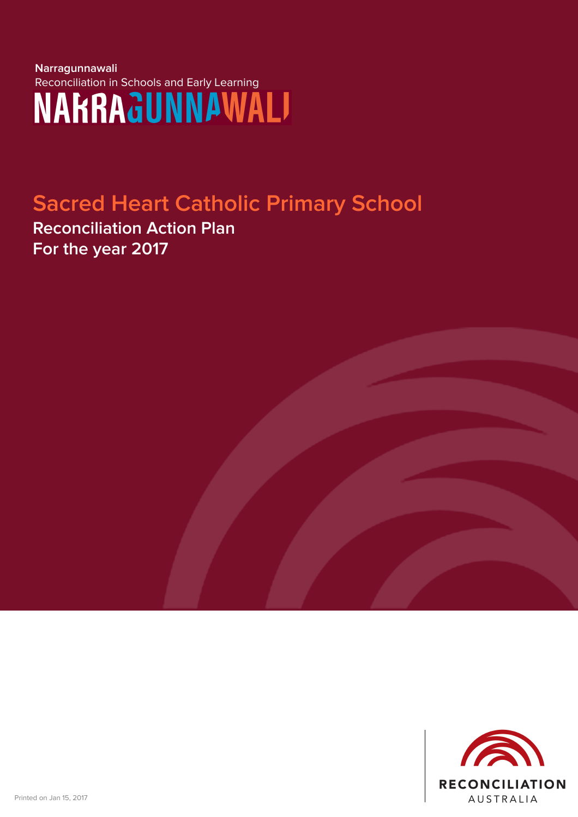# **Narragunnawali** Reconciliation in Schools and Early Learning<br>
MAhnAdUNNAWALI

## **Sacred Heart Catholic Primary School**

**Reconciliation Action Plan For the year 2017**

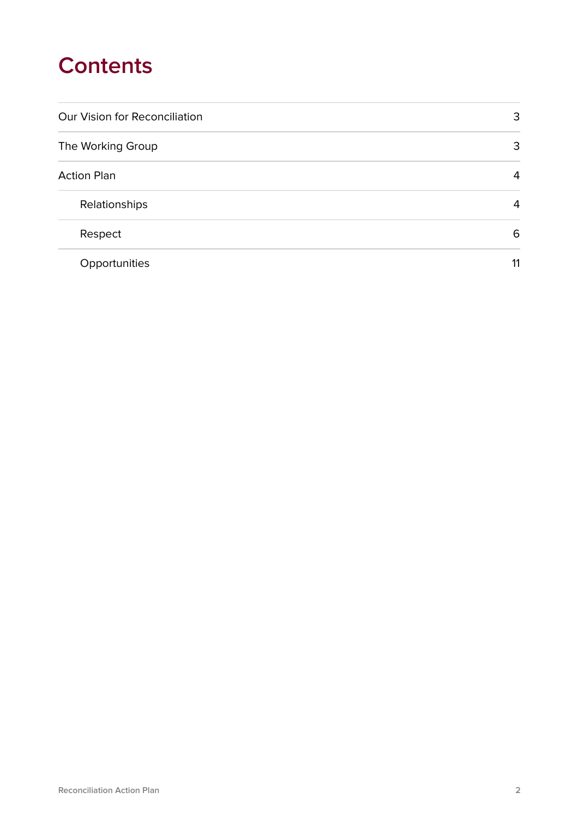### **Contents**

| <b>Our Vision for Reconciliation</b> | 3  |
|--------------------------------------|----|
| The Working Group                    | 3  |
| <b>Action Plan</b>                   | 4  |
| Relationships                        | 4  |
| Respect                              | 6  |
| Opportunities                        | 11 |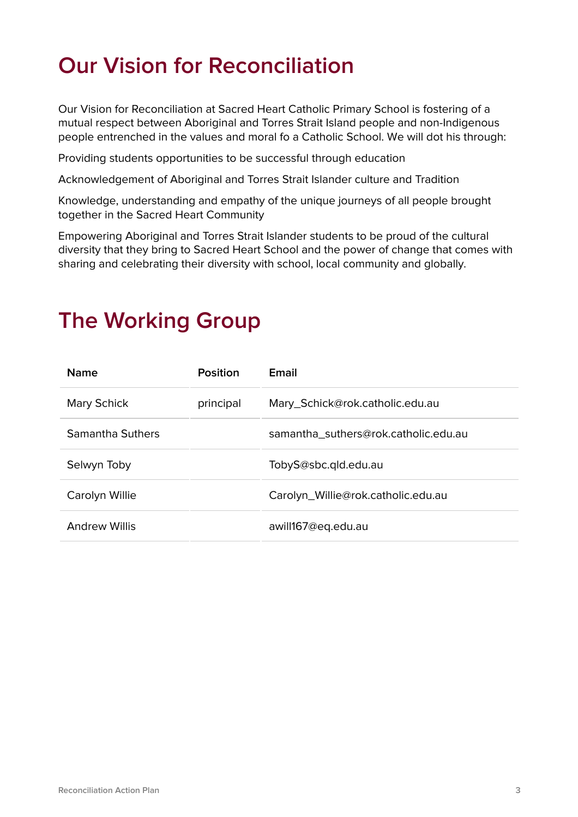## **Our Vision for Reconciliation**

Our Vision for Reconciliation at Sacred Heart Catholic Primary School is fostering of a mutual respect between Aboriginal and Torres Strait Island people and non-Indigenous people entrenched in the values and moral fo a Catholic School. We will dot his through:

Providing students opportunities to be successful through education

Acknowledgement of Aboriginal and Torres Strait Islander culture and Tradition

Knowledge, understanding and empathy of the unique journeys of all people brought together in the Sacred Heart Community

Empowering Aboriginal and Torres Strait Islander students to be proud of the cultural diversity that they bring to Sacred Heart School and the power of change that comes with sharing and celebrating their diversity with school, local community and globally.

| <b>Name</b>          | <b>Position</b> | Email                                |
|----------------------|-----------------|--------------------------------------|
| <b>Mary Schick</b>   | principal       | Mary_Schick@rok.catholic.edu.au      |
| Samantha Suthers     |                 | samantha suthers@rok.catholic.edu.au |
| Selwyn Toby          |                 | TobyS@sbc.qld.edu.au                 |
| Carolyn Willie       |                 | Carolyn_Willie@rok.catholic.edu.au   |
| <b>Andrew Willis</b> |                 | awill167@eq.edu.au                   |

#### **The Working Group**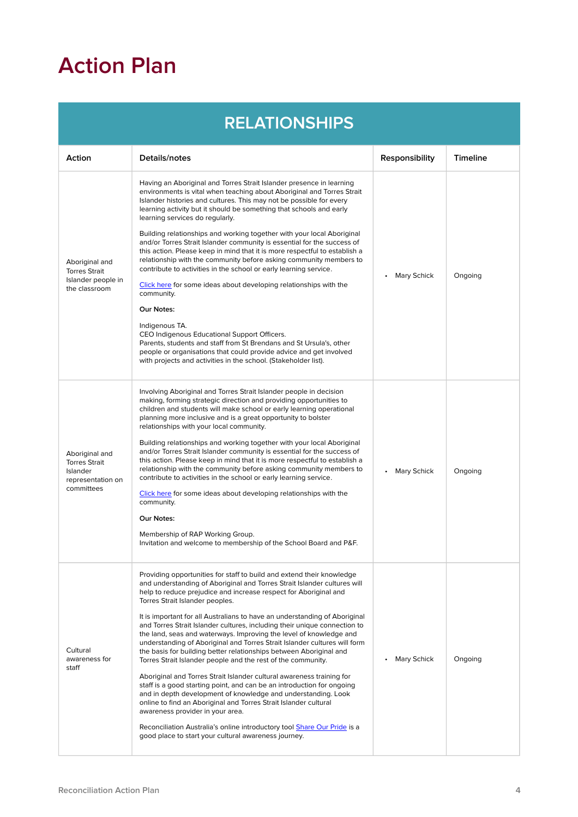# **Action Plan**

|                                                                                       | <b>RELATIONSHIPS</b>                                                                                                                                                                                                                                                                                                                                                                                                                                                                                                                                                                                                                                                                                                                                                                                                                                                                                                                                                                                                                                                                                                                                                         |                    |                 |
|---------------------------------------------------------------------------------------|------------------------------------------------------------------------------------------------------------------------------------------------------------------------------------------------------------------------------------------------------------------------------------------------------------------------------------------------------------------------------------------------------------------------------------------------------------------------------------------------------------------------------------------------------------------------------------------------------------------------------------------------------------------------------------------------------------------------------------------------------------------------------------------------------------------------------------------------------------------------------------------------------------------------------------------------------------------------------------------------------------------------------------------------------------------------------------------------------------------------------------------------------------------------------|--------------------|-----------------|
| Action                                                                                | Details/notes                                                                                                                                                                                                                                                                                                                                                                                                                                                                                                                                                                                                                                                                                                                                                                                                                                                                                                                                                                                                                                                                                                                                                                | Responsibility     | <b>Timeline</b> |
| Aboriginal and<br><b>Torres Strait</b><br>Islander people in<br>the classroom         | Having an Aboriginal and Torres Strait Islander presence in learning<br>environments is vital when teaching about Aboriginal and Torres Strait<br>Islander histories and cultures. This may not be possible for every<br>learning activity but it should be something that schools and early<br>learning services do regularly.<br>Building relationships and working together with your local Aboriginal<br>and/or Torres Strait Islander community is essential for the success of<br>this action. Please keep in mind that it is more respectful to establish a<br>relationship with the community before asking community members to<br>contribute to activities in the school or early learning service.<br>Click here for some ideas about developing relationships with the<br>community.<br>Our Notes:<br>Indigenous TA.<br>CEO Indigenous Educational Support Officers.<br>Parents, students and staff from St Brendans and St Ursula's, other<br>people or organisations that could provide advice and get involved<br>with projects and activities in the school. (Stakeholder list).                                                                             | <b>Mary Schick</b> | Ongoing         |
| Aboriginal and<br><b>Torres Strait</b><br>Islander<br>representation on<br>committees | Involving Aboriginal and Torres Strait Islander people in decision<br>making, forming strategic direction and providing opportunities to<br>children and students will make school or early learning operational<br>planning more inclusive and is a great opportunity to bolster<br>relationships with your local community.<br>Building relationships and working together with your local Aboriginal<br>and/or Torres Strait Islander community is essential for the success of<br>this action. Please keep in mind that it is more respectful to establish a<br>relationship with the community before asking community members to<br>contribute to activities in the school or early learning service.<br>Click here for some ideas about developing relationships with the<br>community.<br>Our Notes:<br>Membership of RAP Working Group.<br>Invitation and welcome to membership of the School Board and P&F.                                                                                                                                                                                                                                                        | <b>Mary Schick</b> | Ongoing         |
| Cultural<br>awareness for<br>staff                                                    | Providing opportunities for staff to build and extend their knowledge<br>and understanding of Aboriginal and Torres Strait Islander cultures will<br>help to reduce prejudice and increase respect for Aboriginal and<br>Torres Strait Islander peoples.<br>It is important for all Australians to have an understanding of Aboriginal<br>and Torres Strait Islander cultures, including their unique connection to<br>the land, seas and waterways. Improving the level of knowledge and<br>understanding of Aboriginal and Torres Strait Islander cultures will form<br>the basis for building better relationships between Aboriginal and<br>Torres Strait Islander people and the rest of the community.<br>Aboriginal and Torres Strait Islander cultural awareness training for<br>staff is a good starting point, and can be an introduction for ongoing<br>and in depth development of knowledge and understanding. Look<br>online to find an Aboriginal and Torres Strait Islander cultural<br>awareness provider in your area.<br>Reconciliation Australia's online introductory tool Share Our Pride is a<br>good place to start your cultural awareness journey. | <b>Mary Schick</b> | Ongoing         |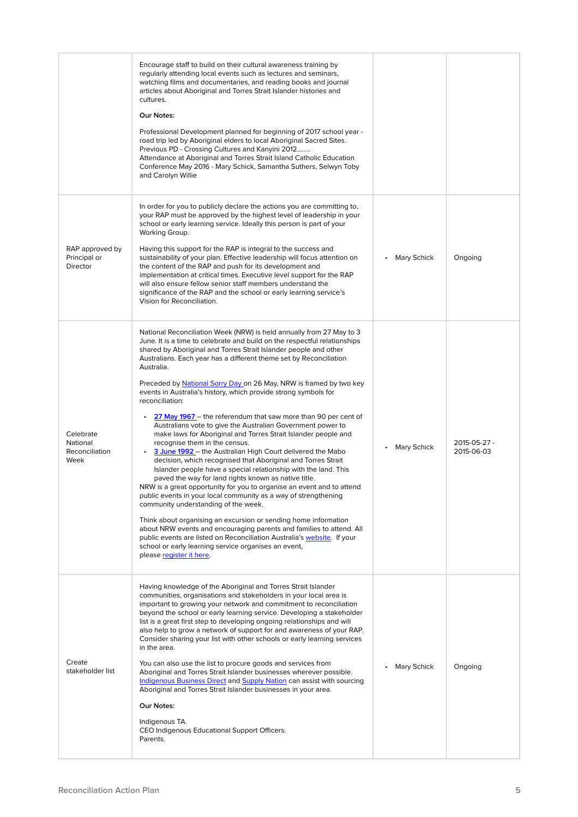|                                                 | Encourage staff to build on their cultural awareness training by<br>regularly attending local events such as lectures and seminars,<br>watching films and documentaries, and reading books and journal<br>articles about Aboriginal and Torres Strait Islander histories and<br>cultures.<br>Our Notes:<br>Professional Development planned for beginning of 2017 school year -<br>road trip led by Aboriginal elders to local Aboriginal Sacred Sites.<br>Previous PD - Crossing Cultures and Kanyini 2012<br>Attendance at Aboriginal and Torres Strait Island Catholic Education<br>Conference May 2016 - Mary Schick, Samantha Suthers, Selwyn Toby<br>and Carolyn Willie                                                                                                                                                                                                                                                                                                                                                                                                                                                                                                                                                                                                                                                                                                                                                                                                        |                    |                            |
|-------------------------------------------------|--------------------------------------------------------------------------------------------------------------------------------------------------------------------------------------------------------------------------------------------------------------------------------------------------------------------------------------------------------------------------------------------------------------------------------------------------------------------------------------------------------------------------------------------------------------------------------------------------------------------------------------------------------------------------------------------------------------------------------------------------------------------------------------------------------------------------------------------------------------------------------------------------------------------------------------------------------------------------------------------------------------------------------------------------------------------------------------------------------------------------------------------------------------------------------------------------------------------------------------------------------------------------------------------------------------------------------------------------------------------------------------------------------------------------------------------------------------------------------------|--------------------|----------------------------|
| RAP approved by<br>Principal or<br>Director     | In order for you to publicly declare the actions you are committing to,<br>your RAP must be approved by the highest level of leadership in your<br>school or early learning service. Ideally this person is part of your<br>Working Group.<br>Having this support for the RAP is integral to the success and<br>sustainability of your plan. Effective leadership will focus attention on<br>the content of the RAP and push for its development and<br>implementation at critical times. Executive level support for the RAP<br>will also ensure fellow senior staff members understand the<br>significance of the RAP and the school or early learning service's<br>Vision for Reconciliation.                                                                                                                                                                                                                                                                                                                                                                                                                                                                                                                                                                                                                                                                                                                                                                                     | <b>Mary Schick</b> | Ongoing                    |
| Celebrate<br>National<br>Reconciliation<br>Week | National Reconciliation Week (NRW) is held annually from 27 May to 3<br>June. It is a time to celebrate and build on the respectful relationships<br>shared by Aboriginal and Torres Strait Islander people and other<br>Australians. Each year has a different theme set by Reconciliation<br>Australia.<br>Preceded by <b>National Sorry Day on 26 May, NRW</b> is framed by two key<br>events in Australia's history, which provide strong symbols for<br>reconciliation:<br>27 May 1967 - the referendum that saw more than 90 per cent of<br>Australians vote to give the Australian Government power to<br>make laws for Aboriginal and Torres Strait Islander people and<br>recognise them in the census.<br>3 June 1992 - the Australian High Court delivered the Mabo<br>$\bullet$<br>decision, which recognised that Aboriginal and Torres Strait<br>Islander people have a special relationship with the land. This<br>paved the way for land rights known as native title.<br>NRW is a great opportunity for you to organise an event and to attend<br>public events in your local community as a way of strengthening<br>community understanding of the week.<br>Think about organising an excursion or sending home information<br>about NRW events and encouraging parents and families to attend. All<br>public events are listed on Reconciliation Australia's website. If your<br>school or early learning service organises an event,<br>please register it here. | <b>Mary Schick</b> | 2015-05-27 -<br>2015-06-03 |
| Create<br>stakeholder list                      | Having knowledge of the Aboriginal and Torres Strait Islander<br>communities, organisations and stakeholders in your local area is<br>important to growing your network and commitment to reconciliation<br>beyond the school or early learning service. Developing a stakeholder<br>list is a great first step to developing ongoing relationships and will<br>also help to grow a network of support for and awareness of your RAP.<br>Consider sharing your list with other schools or early learning services<br>in the area.<br>You can also use the list to procure goods and services from<br>Aboriginal and Torres Strait Islander businesses wherever possible.<br>Indigenous Business Direct and Supply Nation can assist with sourcing<br>Aboriginal and Torres Strait Islander businesses in your area.<br>Our Notes:<br>Indigenous TA.<br>CEO Indigenous Educational Support Officers.<br>Parents.                                                                                                                                                                                                                                                                                                                                                                                                                                                                                                                                                                      | <b>Mary Schick</b> | Ongoing                    |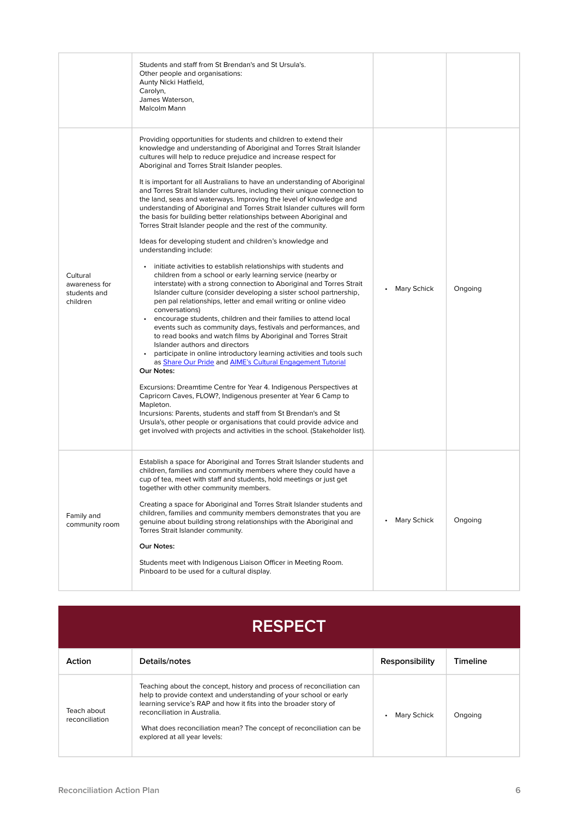|                                                       | Students and staff from St Brendan's and St Ursula's.<br>Other people and organisations:<br>Aunty Nicki Hatfield,<br>Carolyn,<br>James Waterson,<br>Malcolm Mann                                                                                                                                                                                                                                                                                                                                                                                                                                                                                                                                                                                                                                                                                                                                                                                                                                                                                                                                                                                                                                                                                                                                                                                                                                                                                                                                                                                                                                                                                                                                                                                                                                                                                                                                                                                                             |                    |         |
|-------------------------------------------------------|------------------------------------------------------------------------------------------------------------------------------------------------------------------------------------------------------------------------------------------------------------------------------------------------------------------------------------------------------------------------------------------------------------------------------------------------------------------------------------------------------------------------------------------------------------------------------------------------------------------------------------------------------------------------------------------------------------------------------------------------------------------------------------------------------------------------------------------------------------------------------------------------------------------------------------------------------------------------------------------------------------------------------------------------------------------------------------------------------------------------------------------------------------------------------------------------------------------------------------------------------------------------------------------------------------------------------------------------------------------------------------------------------------------------------------------------------------------------------------------------------------------------------------------------------------------------------------------------------------------------------------------------------------------------------------------------------------------------------------------------------------------------------------------------------------------------------------------------------------------------------------------------------------------------------------------------------------------------------|--------------------|---------|
| Cultural<br>awareness for<br>students and<br>children | Providing opportunities for students and children to extend their<br>knowledge and understanding of Aboriginal and Torres Strait Islander<br>cultures will help to reduce prejudice and increase respect for<br>Aboriginal and Torres Strait Islander peoples.<br>It is important for all Australians to have an understanding of Aboriginal<br>and Torres Strait Islander cultures, including their unique connection to<br>the land, seas and waterways. Improving the level of knowledge and<br>understanding of Aboriginal and Torres Strait Islander cultures will form<br>the basis for building better relationships between Aboriginal and<br>Torres Strait Islander people and the rest of the community.<br>Ideas for developing student and children's knowledge and<br>understanding include:<br>initiate activities to establish relationships with students and<br>children from a school or early learning service (nearby or<br>interstate) with a strong connection to Aboriginal and Torres Strait<br>Islander culture (consider developing a sister school partnership,<br>pen pal relationships, letter and email writing or online video<br>conversations)<br>encourage students, children and their families to attend local<br>$\bullet$<br>events such as community days, festivals and performances, and<br>to read books and watch films by Aboriginal and Torres Strait<br>Islander authors and directors<br>participate in online introductory learning activities and tools such<br>as Share Our Pride and AIME's Cultural Engagement Tutorial<br>Our Notes:<br>Excursions: Dreamtime Centre for Year 4. Indigenous Perspectives at<br>Capricorn Caves, FLOW?, Indigenous presenter at Year 6 Camp to<br>Mapleton.<br>Incursions: Parents, students and staff from St Brendan's and St<br>Ursula's, other people or organisations that could provide advice and<br>get involved with projects and activities in the school. (Stakeholder list). | <b>Mary Schick</b> | Ongoing |
| Family and<br>community room                          | Establish a space for Aboriginal and Torres Strait Islander students and<br>children, families and community members where they could have a<br>cup of tea, meet with staff and students, hold meetings or just get<br>together with other community members.<br>Creating a space for Aboriginal and Torres Strait Islander students and<br>children, families and community members demonstrates that you are<br>genuine about building strong relationships with the Aboriginal and<br>Torres Strait Islander community.<br>Our Notes:<br>Students meet with Indigenous Liaison Officer in Meeting Room.<br>Pinboard to be used for a cultural display.                                                                                                                                                                                                                                                                                                                                                                                                                                                                                                                                                                                                                                                                                                                                                                                                                                                                                                                                                                                                                                                                                                                                                                                                                                                                                                                    | <b>Mary Schick</b> | Ongoing |

| <b>RESPECT</b> |  |  |
|----------------|--|--|
|                |  |  |
|                |  |  |
|                |  |  |

| Action                        | Details/notes                                                                                                                                                                                                                                                                                                                                         | Responsibility | <b>Timeline</b> |
|-------------------------------|-------------------------------------------------------------------------------------------------------------------------------------------------------------------------------------------------------------------------------------------------------------------------------------------------------------------------------------------------------|----------------|-----------------|
| Teach about<br>reconciliation | Teaching about the concept, history and process of reconciliation can<br>help to provide context and understanding of your school or early<br>learning service's RAP and how it fits into the broader story of<br>reconciliation in Australia.<br>What does reconciliation mean? The concept of reconciliation can be<br>explored at all year levels: | Mary Schick    | Ongoing         |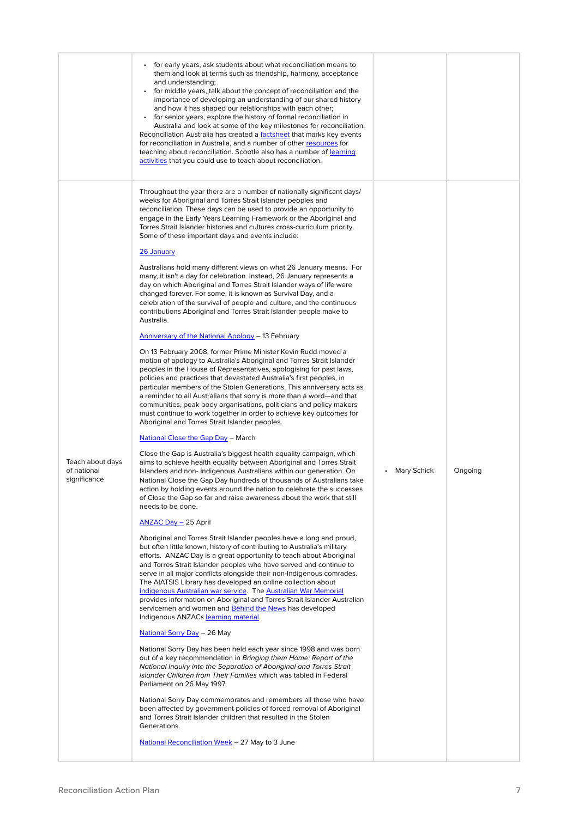|                                                 | • for early years, ask students about what reconciliation means to<br>them and look at terms such as friendship, harmony, acceptance<br>and understanding;<br>for middle years, talk about the concept of reconciliation and the<br>$\bullet$<br>importance of developing an understanding of our shared history<br>and how it has shaped our relationships with each other;<br>for senior years, explore the history of formal reconciliation in<br>$\bullet$<br>Australia and look at some of the key milestones for reconciliation.<br>Reconciliation Australia has created a <u>factsheet</u> that marks key events<br>for reconciliation in Australia, and a number of other resources for<br>teaching about reconciliation. Scootle also has a number of learning<br>activities that you could use to teach about reconciliation.                                                                                                                                                                                                                                                                                                                                                                                                                                                                                                                                                                                                                                                                                                                                                                                                                                                                                                                                                                                                                                                                                                                                                                                                                                                                                                                                                                                                                                                                                                                                                                                                                                                                                                                                                                                                                                                                                                                                                                                                                                                                                                                                                                                                                                                                                                                                                                                                                                                                                                                                                                                                                                                 |             |         |
|-------------------------------------------------|-----------------------------------------------------------------------------------------------------------------------------------------------------------------------------------------------------------------------------------------------------------------------------------------------------------------------------------------------------------------------------------------------------------------------------------------------------------------------------------------------------------------------------------------------------------------------------------------------------------------------------------------------------------------------------------------------------------------------------------------------------------------------------------------------------------------------------------------------------------------------------------------------------------------------------------------------------------------------------------------------------------------------------------------------------------------------------------------------------------------------------------------------------------------------------------------------------------------------------------------------------------------------------------------------------------------------------------------------------------------------------------------------------------------------------------------------------------------------------------------------------------------------------------------------------------------------------------------------------------------------------------------------------------------------------------------------------------------------------------------------------------------------------------------------------------------------------------------------------------------------------------------------------------------------------------------------------------------------------------------------------------------------------------------------------------------------------------------------------------------------------------------------------------------------------------------------------------------------------------------------------------------------------------------------------------------------------------------------------------------------------------------------------------------------------------------------------------------------------------------------------------------------------------------------------------------------------------------------------------------------------------------------------------------------------------------------------------------------------------------------------------------------------------------------------------------------------------------------------------------------------------------------------------------------------------------------------------------------------------------------------------------------------------------------------------------------------------------------------------------------------------------------------------------------------------------------------------------------------------------------------------------------------------------------------------------------------------------------------------------------------------------------------------------------------------------------------------------------------------------|-------------|---------|
| Teach about days<br>of national<br>significance | Throughout the year there are a number of nationally significant days/<br>weeks for Aboriginal and Torres Strait Islander peoples and<br>reconciliation. These days can be used to provide an opportunity to<br>engage in the Early Years Learning Framework or the Aboriginal and<br>Torres Strait Islander histories and cultures cross-curriculum priority.<br>Some of these important days and events include:<br>26 January<br>Australians hold many different views on what 26 January means. For<br>many, it isn't a day for celebration. Instead, 26 January represents a<br>day on which Aboriginal and Torres Strait Islander ways of life were<br>changed forever. For some, it is known as Survival Day, and a<br>celebration of the survival of people and culture, and the continuous<br>contributions Aboriginal and Torres Strait Islander people make to<br>Australia.<br><b>Anniversary of the National Apology - 13 February</b><br>On 13 February 2008, former Prime Minister Kevin Rudd moved a<br>motion of apology to Australia's Aboriginal and Torres Strait Islander<br>peoples in the House of Representatives, apologising for past laws,<br>policies and practices that devastated Australia's first peoples, in<br>particular members of the Stolen Generations. This anniversary acts as<br>a reminder to all Australians that sorry is more than a word—and that<br>communities, peak body organisations, politicians and policy makers<br>must continue to work together in order to achieve key outcomes for<br>Aboriginal and Torres Strait Islander peoples.<br><u>National Close the Gap Day</u> – March<br>Close the Gap is Australia's biggest health equality campaign, which<br>aims to achieve health equality between Aboriginal and Torres Strait<br>Islanders and non-Indigenous Australians within our generation. On<br>National Close the Gap Day hundreds of thousands of Australians take<br>action by holding events around the nation to celebrate the successes<br>of Close the Gap so far and raise awareness about the work that still<br>needs to be done.<br><b>ANZAC Day - 25 April</b><br>Aboriginal and Torres Strait Islander peoples have a long and proud,<br>but often little known, history of contributing to Australia's military<br>efforts. ANZAC Day is a great opportunity to teach about Aboriginal<br>and Torres Strait Islander peoples who have served and continue to<br>serve in all major conflicts alongside their non-Indigenous comrades.<br>The AIATSIS Library has developed an online collection about<br>Indigenous Australian war service. The Australian War Memorial<br>provides information on Aboriginal and Torres Strait Islander Australian<br>servicemen and women and Behind the News has developed<br>Indigenous ANZACs learning material.<br><u>National Sorry Day</u> - 26 May<br>National Sorry Day has been held each year since 1998 and was born<br>out of a key recommendation in Bringing them Home: Report of the<br>National Inquiry into the Separation of Aboriginal and Torres Strait<br>Islander Children from Their Families which was tabled in Federal<br>Parliament on 26 May 1997.<br>National Sorry Day commemorates and remembers all those who have<br>been affected by government policies of forced removal of Aboriginal<br>and Torres Strait Islander children that resulted in the Stolen<br>Generations.<br>National Reconciliation Week - 27 May to 3 June | Mary Schick | Ongoing |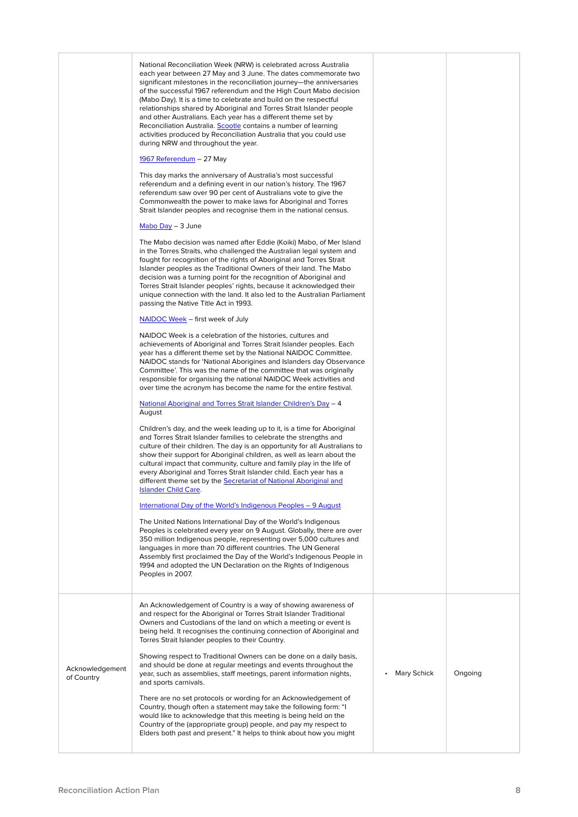|                               | National Reconciliation Week (NRW) is celebrated across Australia<br>each year between 27 May and 3 June. The dates commemorate two<br>significant milestones in the reconciliation journey—the anniversaries<br>of the successful 1967 referendum and the High Court Mabo decision<br>(Mabo Day). It is a time to celebrate and build on the respectful<br>relationships shared by Aboriginal and Torres Strait Islander people<br>and other Australians. Each year has a different theme set by<br>Reconciliation Australia. Scootle contains a number of learning<br>activities produced by Reconciliation Australia that you could use<br>during NRW and throughout the year. |                    |         |
|-------------------------------|-----------------------------------------------------------------------------------------------------------------------------------------------------------------------------------------------------------------------------------------------------------------------------------------------------------------------------------------------------------------------------------------------------------------------------------------------------------------------------------------------------------------------------------------------------------------------------------------------------------------------------------------------------------------------------------|--------------------|---------|
|                               | <u> 1967 Referendum</u> – 27 May                                                                                                                                                                                                                                                                                                                                                                                                                                                                                                                                                                                                                                                  |                    |         |
|                               | This day marks the anniversary of Australia's most successful<br>referendum and a defining event in our nation's history. The 1967<br>referendum saw over 90 per cent of Australians vote to give the<br>Commonwealth the power to make laws for Aboriginal and Torres<br>Strait Islander peoples and recognise them in the national census.                                                                                                                                                                                                                                                                                                                                      |                    |         |
|                               | $Mabo Day - 3 June$                                                                                                                                                                                                                                                                                                                                                                                                                                                                                                                                                                                                                                                               |                    |         |
|                               | The Mabo decision was named after Eddie (Koiki) Mabo, of Mer Island<br>in the Torres Straits, who challenged the Australian legal system and<br>fought for recognition of the rights of Aboriginal and Torres Strait<br>Islander peoples as the Traditional Owners of their land. The Mabo<br>decision was a turning point for the recognition of Aboriginal and<br>Torres Strait Islander peoples' rights, because it acknowledged their<br>unique connection with the land. It also led to the Australian Parliament<br>passing the Native Title Act in 1993.                                                                                                                   |                    |         |
|                               | <b>NAIDOC Week</b> – first week of July                                                                                                                                                                                                                                                                                                                                                                                                                                                                                                                                                                                                                                           |                    |         |
|                               | NAIDOC Week is a celebration of the histories, cultures and<br>achievements of Aboriginal and Torres Strait Islander peoples. Each<br>year has a different theme set by the National NAIDOC Committee.<br>NAIDOC stands for 'National Aborigines and Islanders day Observance<br>Committee'. This was the name of the committee that was originally<br>responsible for organising the national NAIDOC Week activities and<br>over time the acronym has become the name for the entire festival.                                                                                                                                                                                   |                    |         |
|                               | <u> National Aboriginal and Torres Strait Islander Children's Day – 4</u><br>August                                                                                                                                                                                                                                                                                                                                                                                                                                                                                                                                                                                               |                    |         |
|                               | Children's day, and the week leading up to it, is a time for Aboriginal<br>and Torres Strait Islander families to celebrate the strengths and<br>culture of their children. The day is an opportunity for all Australians to<br>show their support for Aboriginal children, as well as learn about the<br>cultural impact that community, culture and family play in the life of<br>every Aboriginal and Torres Strait Islander child. Each year has a<br>different theme set by the <b>Secretariat of National Aboriginal and</b><br><b>Islander Child Care.</b>                                                                                                                 |                    |         |
|                               | <u>International Day of the World's Indigenous Peoples – 9 August</u>                                                                                                                                                                                                                                                                                                                                                                                                                                                                                                                                                                                                             |                    |         |
|                               | The United Nations International Day of the World's Indigenous<br>Peoples is celebrated every year on 9 August. Globally, there are over<br>350 million Indigenous people, representing over 5,000 cultures and<br>languages in more than 70 different countries. The UN General<br>Assembly first proclaimed the Day of the World's Indigenous People in<br>1994 and adopted the UN Declaration on the Rights of Indigenous<br>Peoples in 2007.                                                                                                                                                                                                                                  |                    |         |
|                               | An Acknowledgement of Country is a way of showing awareness of<br>and respect for the Aboriginal or Torres Strait Islander Traditional<br>Owners and Custodians of the land on which a meeting or event is<br>being held. It recognises the continuing connection of Aboriginal and<br>Torres Strait Islander peoples to their Country.<br>Showing respect to Traditional Owners can be done on a daily basis,                                                                                                                                                                                                                                                                    |                    |         |
| Acknowledgement<br>of Country | and should be done at regular meetings and events throughout the<br>year, such as assemblies, staff meetings, parent information nights,<br>and sports carnivals.                                                                                                                                                                                                                                                                                                                                                                                                                                                                                                                 | <b>Mary Schick</b> | Ongoing |
|                               | There are no set protocols or wording for an Acknowledgement of<br>Country, though often a statement may take the following form: "I<br>would like to acknowledge that this meeting is being held on the<br>Country of the (appropriate group) people, and pay my respect to<br>Elders both past and present." It helps to think about how you might                                                                                                                                                                                                                                                                                                                              |                    |         |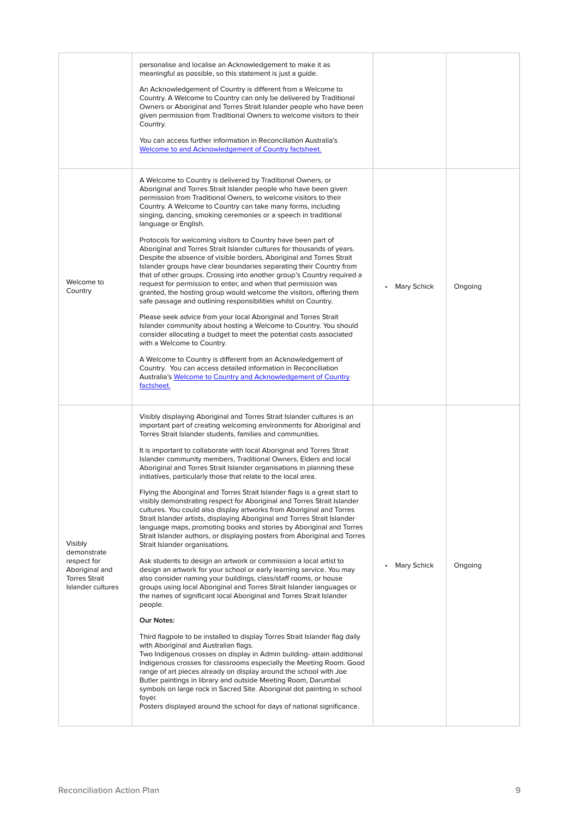|                                                                                                      | personalise and localise an Acknowledgement to make it as<br>meaningful as possible, so this statement is just a guide.<br>An Acknowledgement of Country is different from a Welcome to<br>Country. A Welcome to Country can only be delivered by Traditional<br>Owners or Aboriginal and Torres Strait Islander people who have been<br>given permission from Traditional Owners to welcome visitors to their<br>Country.<br>You can access further information in Reconciliation Australia's<br>Welcome to and Acknowledgement of Country factsheet.                                                                                                                                                                                                                                                                                                                                                                                                                                                                                                                                                                                                                                                                                                                                                                                                                                                                                                                                                                                                                                                                                                                                                                                                                                                                                                                                                                                                                               |                    |         |
|------------------------------------------------------------------------------------------------------|--------------------------------------------------------------------------------------------------------------------------------------------------------------------------------------------------------------------------------------------------------------------------------------------------------------------------------------------------------------------------------------------------------------------------------------------------------------------------------------------------------------------------------------------------------------------------------------------------------------------------------------------------------------------------------------------------------------------------------------------------------------------------------------------------------------------------------------------------------------------------------------------------------------------------------------------------------------------------------------------------------------------------------------------------------------------------------------------------------------------------------------------------------------------------------------------------------------------------------------------------------------------------------------------------------------------------------------------------------------------------------------------------------------------------------------------------------------------------------------------------------------------------------------------------------------------------------------------------------------------------------------------------------------------------------------------------------------------------------------------------------------------------------------------------------------------------------------------------------------------------------------------------------------------------------------------------------------------------------------|--------------------|---------|
| Welcome to<br>Country                                                                                | A Welcome to Country is delivered by Traditional Owners, or<br>Aboriginal and Torres Strait Islander people who have been given<br>permission from Traditional Owners, to welcome visitors to their<br>Country. A Welcome to Country can take many forms, including<br>singing, dancing, smoking ceremonies or a speech in traditional<br>language or English.<br>Protocols for welcoming visitors to Country have been part of<br>Aboriginal and Torres Strait Islander cultures for thousands of years.<br>Despite the absence of visible borders, Aboriginal and Torres Strait<br>Islander groups have clear boundaries separating their Country from<br>that of other groups. Crossing into another group's Country required a<br>request for permission to enter, and when that permission was<br>granted, the hosting group would welcome the visitors, offering them<br>safe passage and outlining responsibilities whilst on Country.<br>Please seek advice from your local Aboriginal and Torres Strait<br>Islander community about hosting a Welcome to Country. You should<br>consider allocating a budget to meet the potential costs associated<br>with a Welcome to Country.<br>A Welcome to Country is different from an Acknowledgement of<br>Country. You can access detailed information in Reconciliation<br>Australia's Welcome to Country and Acknowledgement of Country<br>factsheet.                                                                                                                                                                                                                                                                                                                                                                                                                                                                                                                                                                          | <b>Mary Schick</b> | Ongoing |
| Visibly<br>demonstrate<br>respect for<br>Aboriginal and<br><b>Torres Strait</b><br>Islander cultures | Visibly displaying Aboriginal and Torres Strait Islander cultures is an<br>important part of creating welcoming environments for Aboriginal and<br>Torres Strait Islander students, families and communities.<br>It is important to collaborate with local Aboriginal and Torres Strait<br>Islander community members, Traditional Owners, Elders and local<br>Aboriginal and Torres Strait Islander organisations in planning these<br>initiatives, particularly those that relate to the local area.<br>Flying the Aboriginal and Torres Strait Islander flags is a great start to<br>visibly demonstrating respect for Aboriginal and Torres Strait Islander<br>cultures. You could also display artworks from Aboriginal and Torres<br>Strait Islander artists, displaying Aboriginal and Torres Strait Islander<br>language maps, promoting books and stories by Aboriginal and Torres<br>Strait Islander authors, or displaying posters from Aboriginal and Torres<br>Strait Islander organisations.<br>Ask students to design an artwork or commission a local artist to<br>design an artwork for your school or early learning service. You may<br>also consider naming your buildings, class/staff rooms, or house<br>groups using local Aboriginal and Torres Strait Islander languages or<br>the names of significant local Aboriginal and Torres Strait Islander<br>people.<br>Our Notes:<br>Third flagpole to be installed to display Torres Strait Islander flag daily<br>with Aboriginal and Australian flags.<br>Two Indigenous crosses on display in Admin building- attain additional<br>Indigenous crosses for classrooms especially the Meeting Room. Good<br>range of art pieces already on display around the school with Joe<br>Butler paintings in library and outside Meeting Room, Darumbal<br>symbols on large rock in Sacred Site. Aboriginal dot painting in school<br>foyer.<br>Posters displayed around the school for days of national significance. | <b>Mary Schick</b> | Ongoing |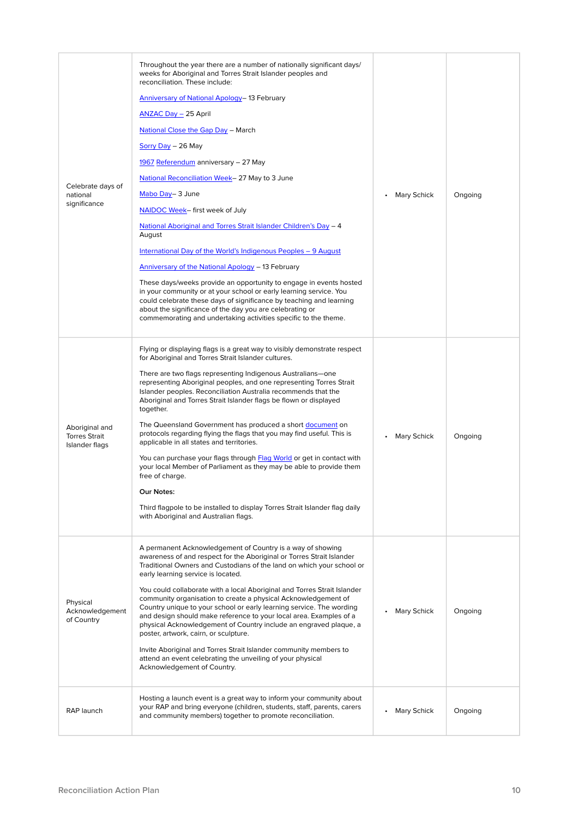| Celebrate days of<br>national<br>significance            | Throughout the year there are a number of nationally significant days/<br>weeks for Aboriginal and Torres Strait Islander peoples and<br>reconciliation. These include:<br>Anniversary of National Apology-13 February<br><b>ANZAC Day - 25 April</b><br><b>National Close the Gap Day - March</b><br>Sorry Day - 26 May<br>1967 Referendum anniversary - 27 May<br>National Reconciliation Week-27 May to 3 June<br>Mabo Day-3 June<br>NAIDOC Week- first week of July<br>National Aboriginal and Torres Strait Islander Children's Day - 4<br>August<br>International Day of the World's Indigenous Peoples - 9 August<br>Anniversary of the National Apology - 13 February<br>These days/weeks provide an opportunity to engage in events hosted<br>in your community or at your school or early learning service. You<br>could celebrate these days of significance by teaching and learning<br>about the significance of the day you are celebrating or<br>commemorating and undertaking activities specific to the theme. | <b>Mary Schick</b> | Ongoing |
|----------------------------------------------------------|---------------------------------------------------------------------------------------------------------------------------------------------------------------------------------------------------------------------------------------------------------------------------------------------------------------------------------------------------------------------------------------------------------------------------------------------------------------------------------------------------------------------------------------------------------------------------------------------------------------------------------------------------------------------------------------------------------------------------------------------------------------------------------------------------------------------------------------------------------------------------------------------------------------------------------------------------------------------------------------------------------------------------------|--------------------|---------|
| Aboriginal and<br><b>Torres Strait</b><br>Islander flags | Flying or displaying flags is a great way to visibly demonstrate respect<br>for Aboriginal and Torres Strait Islander cultures.<br>There are two flags representing Indigenous Australians—one<br>representing Aboriginal peoples, and one representing Torres Strait<br>Islander peoples. Reconciliation Australia recommends that the<br>Aboriginal and Torres Strait Islander flags be flown or displayed<br>together.<br>The Queensland Government has produced a short document on<br>protocols regarding flying the flags that you may find useful. This is<br>applicable in all states and territories.<br>You can purchase your flags through Flag World or get in contact with<br>your local Member of Parliament as they may be able to provide them<br>free of charge.<br>Our Notes:<br>Third flagpole to be installed to display Torres Strait Islander flag daily<br>with Aboriginal and Australian flags.                                                                                                         | <b>Mary Schick</b> | Ongoing |
| Physical<br>Acknowledgement<br>of Country                | A permanent Acknowledgement of Country is a way of showing<br>awareness of and respect for the Aboriginal or Torres Strait Islander<br>Traditional Owners and Custodians of the land on which your school or<br>early learning service is located.<br>You could collaborate with a local Aboriginal and Torres Strait Islander<br>community organisation to create a physical Acknowledgement of<br>Country unique to your school or early learning service. The wording<br>and design should make reference to your local area. Examples of a<br>physical Acknowledgement of Country include an engraved plaque, a<br>poster, artwork, cairn, or sculpture.<br>Invite Aboriginal and Torres Strait Islander community members to<br>attend an event celebrating the unveiling of your physical<br>Acknowledgement of Country.                                                                                                                                                                                                  | <b>Mary Schick</b> | Ongoing |
| RAP launch                                               | Hosting a launch event is a great way to inform your community about<br>your RAP and bring everyone (children, students, staff, parents, carers<br>and community members) together to promote reconciliation.                                                                                                                                                                                                                                                                                                                                                                                                                                                                                                                                                                                                                                                                                                                                                                                                                   | <b>Mary Schick</b> | Ongoing |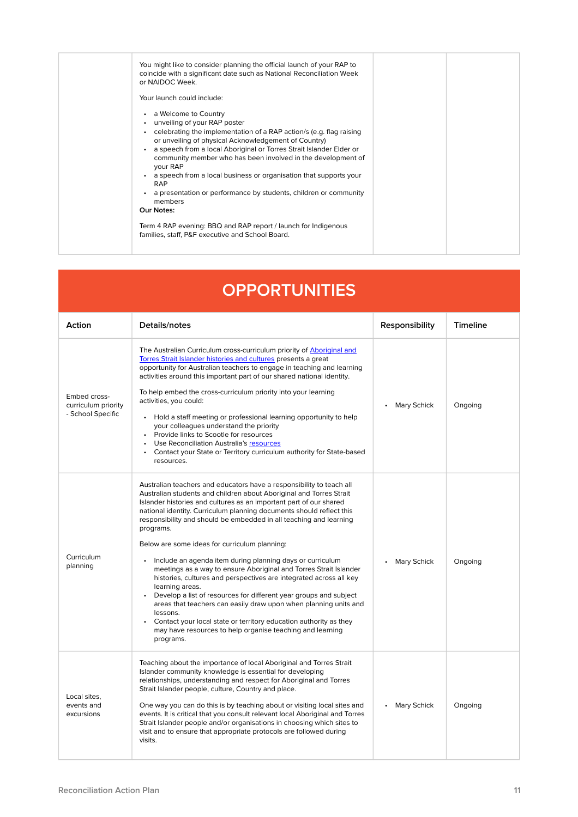| You might like to consider planning the official launch of your RAP to<br>coincide with a significant date such as National Reconciliation Week<br>or NAIDOC Week.<br>Your launch could include:<br>a Welcome to Country<br>$\bullet$<br>unveiling of your RAP poster<br>celebrating the implementation of a RAP action/s (e.g. flag raising<br>$\bullet$<br>or unveiling of physical Acknowledgement of Country)<br>a speech from a local Aboriginal or Torres Strait Islander Elder or<br>community member who has been involved in the development of<br>your RAP<br>a speech from a local business or organisation that supports your<br>$\bullet$<br><b>RAP</b><br>a presentation or performance by students, children or community<br>members<br>Our Notes:<br>Term 4 RAP evening: BBQ and RAP report / launch for Indigenous<br>families, staff, P&F executive and School Board. |  |
|-----------------------------------------------------------------------------------------------------------------------------------------------------------------------------------------------------------------------------------------------------------------------------------------------------------------------------------------------------------------------------------------------------------------------------------------------------------------------------------------------------------------------------------------------------------------------------------------------------------------------------------------------------------------------------------------------------------------------------------------------------------------------------------------------------------------------------------------------------------------------------------------|--|
|                                                                                                                                                                                                                                                                                                                                                                                                                                                                                                                                                                                                                                                                                                                                                                                                                                                                                         |  |
|                                                                                                                                                                                                                                                                                                                                                                                                                                                                                                                                                                                                                                                                                                                                                                                                                                                                                         |  |
|                                                                                                                                                                                                                                                                                                                                                                                                                                                                                                                                                                                                                                                                                                                                                                                                                                                                                         |  |
|                                                                                                                                                                                                                                                                                                                                                                                                                                                                                                                                                                                                                                                                                                                                                                                                                                                                                         |  |

| <b>OPPORTUNITIES</b>                                     |                                                                                                                                                                                                                                                                                                                                                                                                                                                                                                                                                                                                                                                                                                                                                                                                                                                                                                                                                                                        |                    |                 |  |
|----------------------------------------------------------|----------------------------------------------------------------------------------------------------------------------------------------------------------------------------------------------------------------------------------------------------------------------------------------------------------------------------------------------------------------------------------------------------------------------------------------------------------------------------------------------------------------------------------------------------------------------------------------------------------------------------------------------------------------------------------------------------------------------------------------------------------------------------------------------------------------------------------------------------------------------------------------------------------------------------------------------------------------------------------------|--------------------|-----------------|--|
| Action                                                   | Details/notes                                                                                                                                                                                                                                                                                                                                                                                                                                                                                                                                                                                                                                                                                                                                                                                                                                                                                                                                                                          | Responsibility     | <b>Timeline</b> |  |
| Embed cross-<br>curriculum priority<br>- School Specific | The Australian Curriculum cross-curriculum priority of Aboriginal and<br>Torres Strait Islander histories and cultures presents a great<br>opportunity for Australian teachers to engage in teaching and learning<br>activities around this important part of our shared national identity.<br>To help embed the cross-curriculum priority into your learning<br>activities, you could:<br>Hold a staff meeting or professional learning opportunity to help<br>$\bullet$<br>your colleagues understand the priority<br>Provide links to Scootle for resources<br>• Use Reconciliation Australia's resources<br>Contact your State or Territory curriculum authority for State-based<br>$\bullet$<br>resources.                                                                                                                                                                                                                                                                        | <b>Mary Schick</b> | Ongoing         |  |
| Curriculum<br>planning                                   | Australian teachers and educators have a responsibility to teach all<br>Australian students and children about Aboriginal and Torres Strait<br>Islander histories and cultures as an important part of our shared<br>national identity. Curriculum planning documents should reflect this<br>responsibility and should be embedded in all teaching and learning<br>programs.<br>Below are some ideas for curriculum planning:<br>Include an agenda item during planning days or curriculum<br>$\bullet$<br>meetings as a way to ensure Aboriginal and Torres Strait Islander<br>histories, cultures and perspectives are integrated across all key<br>learning areas.<br>Develop a list of resources for different year groups and subject<br>areas that teachers can easily draw upon when planning units and<br>lessons.<br>Contact your local state or territory education authority as they<br>$\bullet$<br>may have resources to help organise teaching and learning<br>programs. | <b>Mary Schick</b> | Ongoing         |  |
| Local sites.<br>events and<br>excursions                 | Teaching about the importance of local Aboriginal and Torres Strait<br>Islander community knowledge is essential for developing<br>relationships, understanding and respect for Aboriginal and Torres<br>Strait Islander people, culture, Country and place.<br>One way you can do this is by teaching about or visiting local sites and<br>events. It is critical that you consult relevant local Aboriginal and Torres<br>Strait Islander people and/or organisations in choosing which sites to<br>visit and to ensure that appropriate protocols are followed during<br>visits.                                                                                                                                                                                                                                                                                                                                                                                                    | <b>Mary Schick</b> | Ongoing         |  |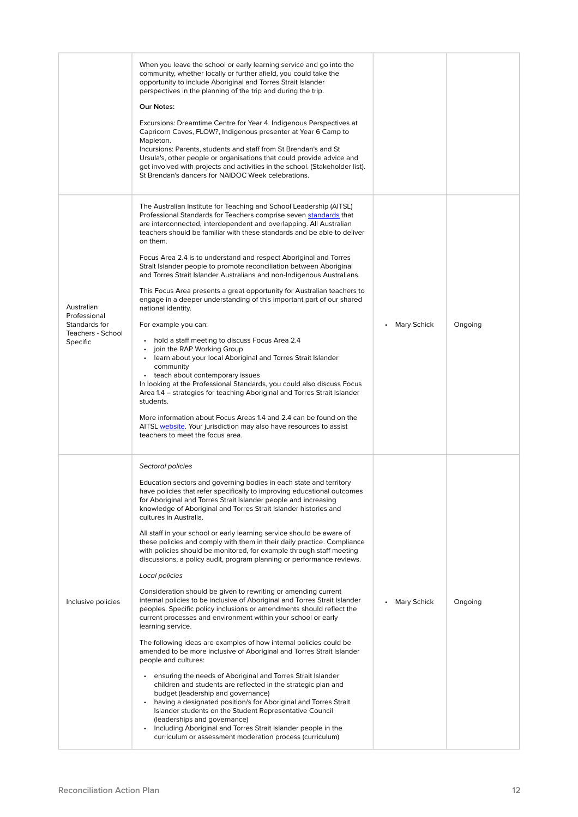|                                                                              | When you leave the school or early learning service and go into the<br>community, whether locally or further afield, you could take the<br>opportunity to include Aboriginal and Torres Strait Islander<br>perspectives in the planning of the trip and during the trip.<br>Our Notes:<br>Excursions: Dreamtime Centre for Year 4. Indigenous Perspectives at<br>Capricorn Caves, FLOW?, Indigenous presenter at Year 6 Camp to<br>Mapleton.<br>Incursions: Parents, students and staff from St Brendan's and St<br>Ursula's, other people or organisations that could provide advice and<br>get involved with projects and activities in the school. (Stakeholder list).<br>St Brendan's dancers for NAIDOC Week celebrations.                                                                                                                                                                                                                                                                                                                                                                                                                                                                                                                                                                                                                                                                                                                                                                                                                                                                                                 |                    |         |
|------------------------------------------------------------------------------|---------------------------------------------------------------------------------------------------------------------------------------------------------------------------------------------------------------------------------------------------------------------------------------------------------------------------------------------------------------------------------------------------------------------------------------------------------------------------------------------------------------------------------------------------------------------------------------------------------------------------------------------------------------------------------------------------------------------------------------------------------------------------------------------------------------------------------------------------------------------------------------------------------------------------------------------------------------------------------------------------------------------------------------------------------------------------------------------------------------------------------------------------------------------------------------------------------------------------------------------------------------------------------------------------------------------------------------------------------------------------------------------------------------------------------------------------------------------------------------------------------------------------------------------------------------------------------------------------------------------------------|--------------------|---------|
| Australian<br>Professional<br>Standards for<br>Teachers - School<br>Specific | The Australian Institute for Teaching and School Leadership (AITSL)<br>Professional Standards for Teachers comprise seven standards that<br>are interconnected, interdependent and overlapping. All Australian<br>teachers should be familiar with these standards and be able to deliver<br>on them.<br>Focus Area 2.4 is to understand and respect Aboriginal and Torres<br>Strait Islander people to promote reconciliation between Aboriginal<br>and Torres Strait Islander Australians and non-Indigenous Australians.<br>This Focus Area presents a great opportunity for Australian teachers to<br>engage in a deeper understanding of this important part of our shared<br>national identity.<br>For example you can:<br>• hold a staff meeting to discuss Focus Area 2.4<br>join the RAP Working Group<br>• learn about your local Aboriginal and Torres Strait Islander<br>community<br>• teach about contemporary issues<br>In looking at the Professional Standards, you could also discuss Focus<br>Area 1.4 – strategies for teaching Aboriginal and Torres Strait Islander<br>students.<br>More information about Focus Areas 1.4 and 2.4 can be found on the<br>AITSL website. Your jurisdiction may also have resources to assist<br>teachers to meet the focus area.                                                                                                                                                                                                                                                                                                                                          | <b>Mary Schick</b> | Ongoing |
| Inclusive policies                                                           | Sectoral policies<br>Education sectors and governing bodies in each state and territory<br>have policies that refer specifically to improving educational outcomes<br>for Aboriginal and Torres Strait Islander people and increasing<br>knowledge of Aboriginal and Torres Strait Islander histories and<br>cultures in Australia.<br>All staff in your school or early learning service should be aware of<br>these policies and comply with them in their daily practice. Compliance<br>with policies should be monitored, for example through staff meeting<br>discussions, a policy audit, program planning or performance reviews.<br>Local policies<br>Consideration should be given to rewriting or amending current<br>internal policies to be inclusive of Aboriginal and Torres Strait Islander<br>peoples. Specific policy inclusions or amendments should reflect the<br>current processes and environment within your school or early<br>learning service.<br>The following ideas are examples of how internal policies could be<br>amended to be more inclusive of Aboriginal and Torres Strait Islander<br>people and cultures:<br>• ensuring the needs of Aboriginal and Torres Strait Islander<br>children and students are reflected in the strategic plan and<br>budget (leadership and governance)<br>having a designated position/s for Aboriginal and Torres Strait<br>Islander students on the Student Representative Council<br>(leaderships and governance)<br>Including Aboriginal and Torres Strait Islander people in the<br>$\bullet$<br>curriculum or assessment moderation process (curriculum) | <b>Mary Schick</b> | Ongoing |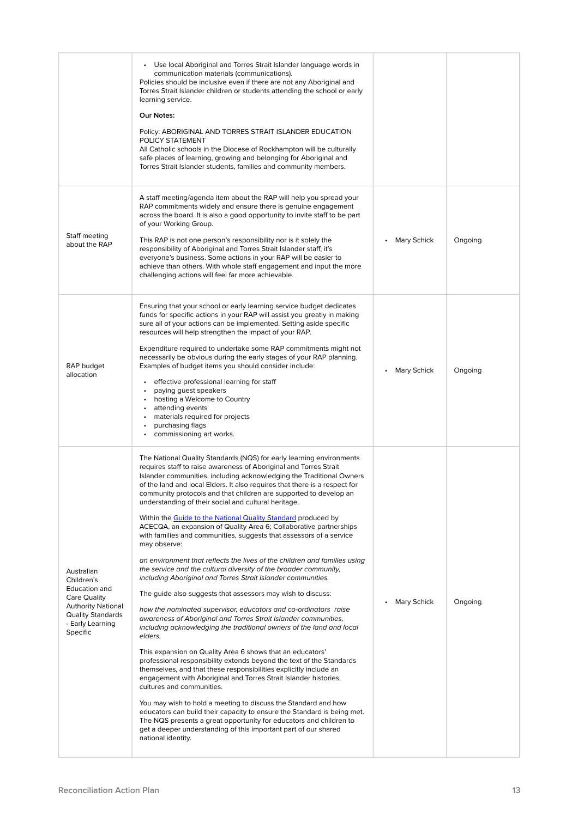|                                                                                                                                                    | • Use local Aboriginal and Torres Strait Islander language words in<br>communication materials (communications).<br>Policies should be inclusive even if there are not any Aboriginal and<br>Torres Strait Islander children or students attending the school or early<br>learning service.<br>Our Notes:<br>Policy: ABORIGINAL AND TORRES STRAIT ISLANDER EDUCATION<br>POLICY STATEMENT<br>All Catholic schools in the Diocese of Rockhampton will be culturally<br>safe places of learning, growing and belonging for Aboriginal and<br>Torres Strait Islander students, families and community members.                                                                                                                                                                                                                                                                                                                                                                                                                                                                                                                                                                                                                                                                                                                                                                                                                                                                                                                                                                                                                                                                                                                                                                                 |                    |         |
|----------------------------------------------------------------------------------------------------------------------------------------------------|--------------------------------------------------------------------------------------------------------------------------------------------------------------------------------------------------------------------------------------------------------------------------------------------------------------------------------------------------------------------------------------------------------------------------------------------------------------------------------------------------------------------------------------------------------------------------------------------------------------------------------------------------------------------------------------------------------------------------------------------------------------------------------------------------------------------------------------------------------------------------------------------------------------------------------------------------------------------------------------------------------------------------------------------------------------------------------------------------------------------------------------------------------------------------------------------------------------------------------------------------------------------------------------------------------------------------------------------------------------------------------------------------------------------------------------------------------------------------------------------------------------------------------------------------------------------------------------------------------------------------------------------------------------------------------------------------------------------------------------------------------------------------------------------|--------------------|---------|
| Staff meeting<br>about the RAP                                                                                                                     | A staff meeting/agenda item about the RAP will help you spread your<br>RAP commitments widely and ensure there is genuine engagement<br>across the board. It is also a good opportunity to invite staff to be part<br>of your Working Group.<br>This RAP is not one person's responsibility nor is it solely the<br>responsibility of Aboriginal and Torres Strait Islander staff, it's<br>everyone's business. Some actions in your RAP will be easier to<br>achieve than others. With whole staff engagement and input the more<br>challenging actions will feel far more achievable.                                                                                                                                                                                                                                                                                                                                                                                                                                                                                                                                                                                                                                                                                                                                                                                                                                                                                                                                                                                                                                                                                                                                                                                                    | <b>Mary Schick</b> | Ongoing |
| RAP budget<br>allocation                                                                                                                           | Ensuring that your school or early learning service budget dedicates<br>funds for specific actions in your RAP will assist you greatly in making<br>sure all of your actions can be implemented. Setting aside specific<br>resources will help strengthen the impact of your RAP.<br>Expenditure required to undertake some RAP commitments might not<br>necessarily be obvious during the early stages of your RAP planning.<br>Examples of budget items you should consider include:<br>effective professional learning for staff<br>paying guest speakers<br>• hosting a Welcome to Country<br>attending events<br>materials required for projects<br>purchasing flags<br>• commissioning art works.                                                                                                                                                                                                                                                                                                                                                                                                                                                                                                                                                                                                                                                                                                                                                                                                                                                                                                                                                                                                                                                                                    | <b>Mary Schick</b> | Ongoing |
| Australian<br>Children's<br>Education and<br>Care Quality<br><b>Authority National</b><br><b>Quality Standards</b><br>- Early Learning<br>Specific | The National Quality Standards (NQS) for early learning environments<br>requires staff to raise awareness of Aboriginal and Torres Strait<br>Islander communities, including acknowledging the Traditional Owners<br>of the land and local Elders. It also requires that there is a respect for<br>community protocols and that children are supported to develop an<br>understanding of their social and cultural heritage.<br>Within the Guide to the National Quality Standard produced by<br>ACECQA, an expansion of Quality Area 6; Collaborative partnerships<br>with families and communities, suggests that assessors of a service<br>may observe:<br>an environment that reflects the lives of the children and families using<br>the service and the cultural diversity of the broader community,<br>including Aboriginal and Torres Strait Islander communities.<br>The guide also suggests that assessors may wish to discuss:<br>how the nominated supervisor, educators and co-ordinators raise<br>awareness of Aboriginal and Torres Strait Islander communities,<br>including acknowledging the traditional owners of the land and local<br>elders.<br>This expansion on Quality Area 6 shows that an educators'<br>professional responsibility extends beyond the text of the Standards<br>themselves, and that these responsibilities explicitly include an<br>engagement with Aboriginal and Torres Strait Islander histories,<br>cultures and communities.<br>You may wish to hold a meeting to discuss the Standard and how<br>educators can build their capacity to ensure the Standard is being met.<br>The NQS presents a great opportunity for educators and children to<br>get a deeper understanding of this important part of our shared<br>national identity. | <b>Mary Schick</b> | Ongoing |